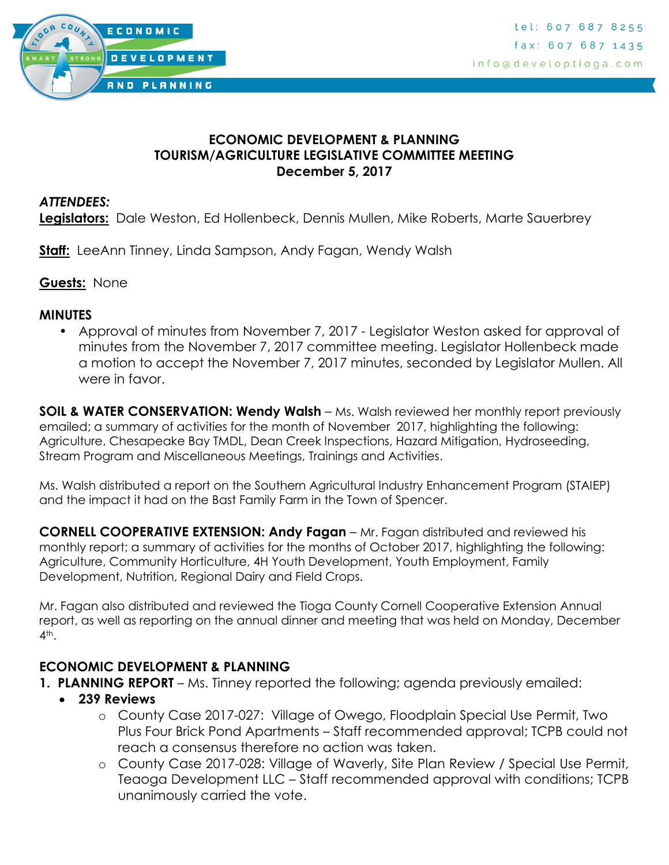

### **ECONOMIC DEVELOPMENT & PLANNING TOURISM/AGRICULTURE LEGISLATIVE COMMITTEE MEETING December 5, 2017**

### *ATTENDEES:*

**Legislators:** Dale Weston, Ed Hollenbeck, Dennis Mullen, Mike Roberts, Marte Sauerbrey

**Staff:** LeeAnn Tinney, Linda Sampson, Andy Fagan, Wendy Walsh

**Guests:** None

#### **MINUTES**

• Approval of minutes from November 7, 2017 - Legislator Weston asked for approval of minutes from the November 7, 2017 committee meeting. Legislator Hollenbeck made a motion to accept the November 7, 2017 minutes, seconded by Legislator Mullen. All were in favor.

**SOIL & WATER CONSERVATION: Wendy Walsh** – Ms. Walsh reviewed her monthly report previously emailed; a summary of activities for the month of November 2017, highlighting the following: Agriculture, Chesapeake Bay TMDL, Dean Creek Inspections, Hazard Mitigation, Hydroseeding, Stream Program and Miscellaneous Meetings, Trainings and Activities.

Ms. Walsh distributed a report on the Southern Agricultural Industry Enhancement Program (STAIEP) and the impact it had on the Bast Family Farm in the Town of Spencer.

**CORNELL COOPERATIVE EXTENSION: Andy Fagan** – Mr. Fagan distributed and reviewed his monthly report; a summary of activities for the months of October 2017, highlighting the following: Agriculture, Community Horticulture, 4H Youth Development, Youth Employment, Family Development, Nutrition, Regional Dairy and Field Crops.

Mr. Fagan also distributed and reviewed the Tioga County Cornell Cooperative Extension Annual report, as well as reporting on the annual dinner and meeting that was held on Monday, December  $4<sup>th</sup>$ .

## **ECONOMIC DEVELOPMENT & PLANNING**

- **1. PLANNING REPORT** Ms. Tinney reported the following; agenda previously emailed:
	- **239 Reviews**
		- o County Case 2017-027: Village of Owego, Floodplain Special Use Permit, Two Plus Four Brick Pond Apartments – Staff recommended approval; TCPB could not reach a consensus therefore no action was taken.
		- o County Case 2017-028: Village of Waverly, Site Plan Review / Special Use Permit, Teaoga Development LLC – Staff recommended approval with conditions; TCPB unanimously carried the vote.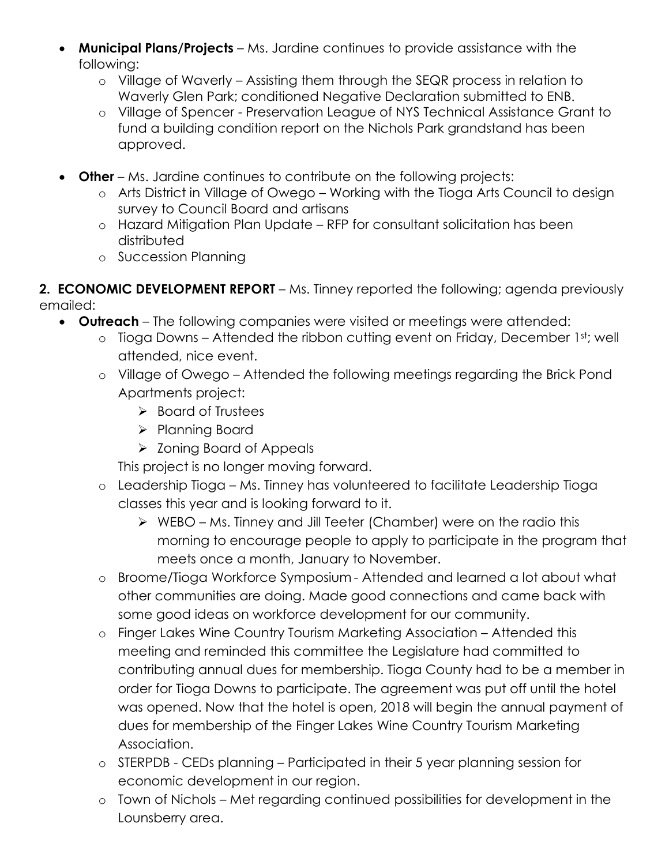- **Municipal Plans/Projects** Ms. Jardine continues to provide assistance with the following:
	- o Village of Waverly Assisting them through the SEQR process in relation to Waverly Glen Park; conditioned Negative Declaration submitted to ENB.
	- o Village of Spencer Preservation League of NYS Technical Assistance Grant to fund a building condition report on the Nichols Park grandstand has been approved.
- **Other** Ms. Jardine continues to contribute on the following projects:
	- o Arts District in Village of Owego Working with the Tioga Arts Council to design survey to Council Board and artisans
	- o Hazard Mitigation Plan Update RFP for consultant solicitation has been distributed
	- o Succession Planning

**2. ECONOMIC DEVELOPMENT REPORT** – Ms. Tinney reported the following; agenda previously emailed:

- **Outreach** The following companies were visited or meetings were attended:
	- o Tioga Downs Attended the ribbon cutting event on Friday, December 1st; well attended, nice event.
	- o Village of Owego Attended the following meetings regarding the Brick Pond Apartments project:
		- $\triangleright$  Board of Trustees
		- $\triangleright$  Planning Board
		- $\triangleright$  Zoning Board of Appeals

This project is no longer moving forward.

- o Leadership Tioga Ms. Tinney has volunteered to facilitate Leadership Tioga classes this year and is looking forward to it.
	- WEBO Ms. Tinney and Jill Teeter (Chamber) were on the radio this morning to encourage people to apply to participate in the program that meets once a month, January to November.
- o Broome/Tioga Workforce Symposium Attended and learned a lot about what other communities are doing. Made good connections and came back with some good ideas on workforce development for our community.
- o Finger Lakes Wine Country Tourism Marketing Association Attended this meeting and reminded this committee the Legislature had committed to contributing annual dues for membership. Tioga County had to be a member in order for Tioga Downs to participate. The agreement was put off until the hotel was opened. Now that the hotel is open, 2018 will begin the annual payment of dues for membership of the Finger Lakes Wine Country Tourism Marketing Association.
- o STERPDB CEDs planning Participated in their 5 year planning session for economic development in our region.
- o Town of Nichols Met regarding continued possibilities for development in the Lounsberry area.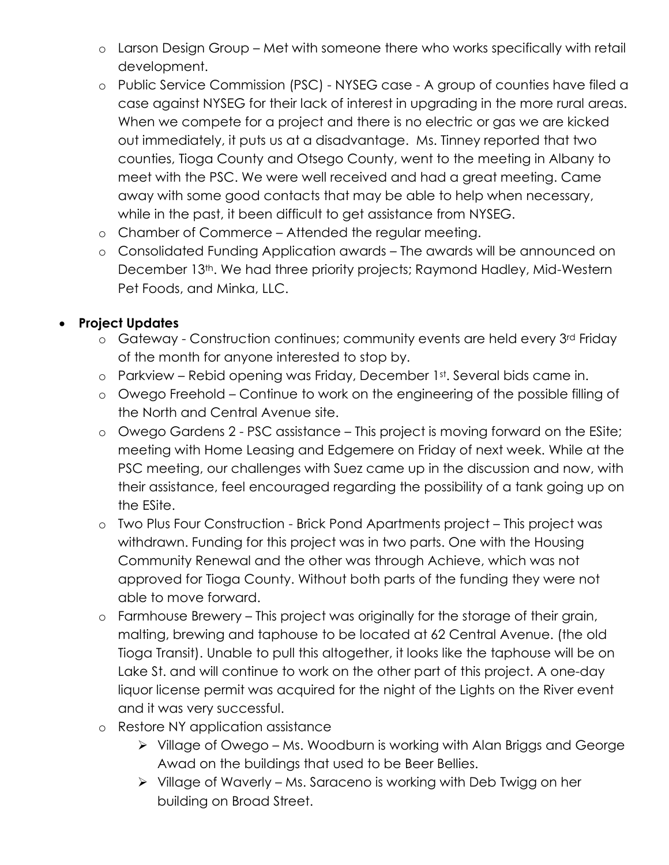- o Larson Design Group Met with someone there who works specifically with retail development.
- o Public Service Commission (PSC) NYSEG case A group of counties have filed a case against NYSEG for their lack of interest in upgrading in the more rural areas. When we compete for a project and there is no electric or gas we are kicked out immediately, it puts us at a disadvantage. Ms. Tinney reported that two counties, Tioga County and Otsego County, went to the meeting in Albany to meet with the PSC. We were well received and had a great meeting. Came away with some good contacts that may be able to help when necessary, while in the past, it been difficult to get assistance from NYSEG.
- o Chamber of Commerce Attended the regular meeting.
- o Consolidated Funding Application awards The awards will be announced on December 13<sup>th</sup>. We had three priority projects; Raymond Hadley, Mid-Western Pet Foods, and Minka, LLC.

## **Project Updates**

- o Gateway Construction continues; community events are held every 3rd Friday of the month for anyone interested to stop by.
- o Parkview Rebid opening was Friday, December 1st. Several bids came in.
- o Owego Freehold Continue to work on the engineering of the possible filling of the North and Central Avenue site.
- o Owego Gardens 2 PSC assistance This project is moving forward on the ESite; meeting with Home Leasing and Edgemere on Friday of next week. While at the PSC meeting, our challenges with Suez came up in the discussion and now, with their assistance, feel encouraged regarding the possibility of a tank going up on the ESite.
- o Two Plus Four Construction Brick Pond Apartments project This project was withdrawn. Funding for this project was in two parts. One with the Housing Community Renewal and the other was through Achieve, which was not approved for Tioga County. Without both parts of the funding they were not able to move forward.
- o Farmhouse Brewery This project was originally for the storage of their grain, malting, brewing and taphouse to be located at 62 Central Avenue. (the old Tioga Transit). Unable to pull this altogether, it looks like the taphouse will be on Lake St. and will continue to work on the other part of this project. A one-day liquor license permit was acquired for the night of the Lights on the River event and it was very successful.
- o Restore NY application assistance
	- Village of Owego Ms. Woodburn is working with Alan Briggs and George Awad on the buildings that used to be Beer Bellies.
	- $\triangleright$  Village of Waverly Ms. Saraceno is working with Deb Twigg on her building on Broad Street.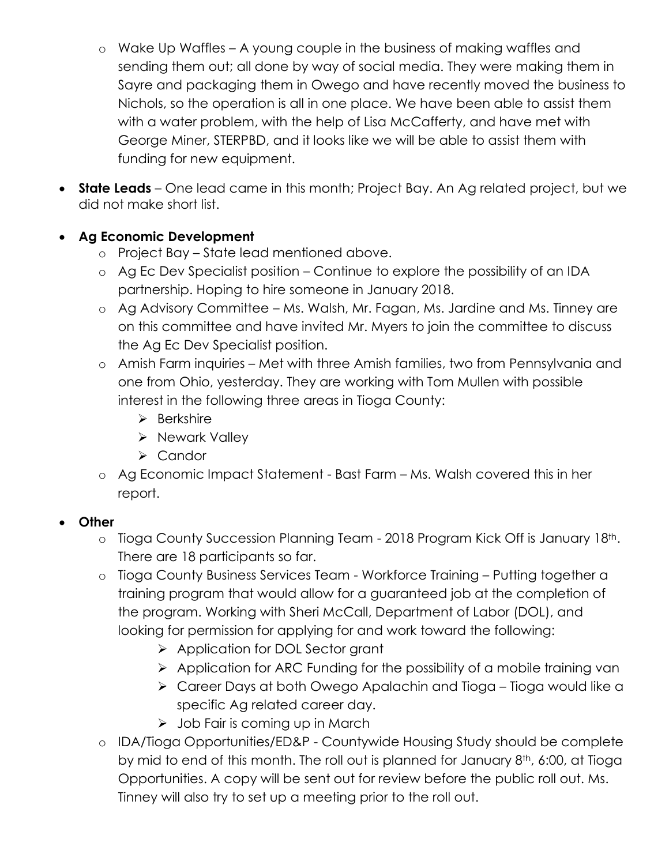- o Wake Up Waffles A young couple in the business of making waffles and sending them out; all done by way of social media. They were making them in Sayre and packaging them in Owego and have recently moved the business to Nichols, so the operation is all in one place. We have been able to assist them with a water problem, with the help of Lisa McCafferty, and have met with George Miner, STERPBD, and it looks like we will be able to assist them with funding for new equipment.
- **State Leads** One lead came in this month; Project Bay. An Ag related project, but we did not make short list.

# **Ag Economic Development**

- o Project Bay State lead mentioned above.
- o Ag Ec Dev Specialist position Continue to explore the possibility of an IDA partnership. Hoping to hire someone in January 2018.
- o Ag Advisory Committee Ms. Walsh, Mr. Fagan, Ms. Jardine and Ms. Tinney are on this committee and have invited Mr. Myers to join the committee to discuss the Ag Ec Dev Specialist position.
- o Amish Farm inquiries Met with three Amish families, two from Pennsylvania and one from Ohio, yesterday. They are working with Tom Mullen with possible interest in the following three areas in Tioga County:
	- $\triangleright$  Berkshire
	- > Newark Valley
	- $\triangleright$  Candor
- o Ag Economic Impact Statement Bast Farm Ms. Walsh covered this in her report.

# **Other**

- o Tioga County Succession Planning Team 2018 Program Kick Off is January 18th. There are 18 participants so far.
- o Tioga County Business Services Team Workforce Training Putting together a training program that would allow for a guaranteed job at the completion of the program. Working with Sheri McCall, Department of Labor (DOL), and looking for permission for applying for and work toward the following:
	- ▶ Application for DOL Sector grant
	- $\triangleright$  Application for ARC Funding for the possibility of a mobile training van
	- Career Days at both Owego Apalachin and Tioga Tioga would like a specific Ag related career day.
	- $\triangleright$  Job Fair is coming up in March
- o IDA/Tioga Opportunities/ED&P Countywide Housing Study should be complete by mid to end of this month. The roll out is planned for January 8<sup>th</sup>, 6:00, at Tioga Opportunities. A copy will be sent out for review before the public roll out. Ms. Tinney will also try to set up a meeting prior to the roll out.